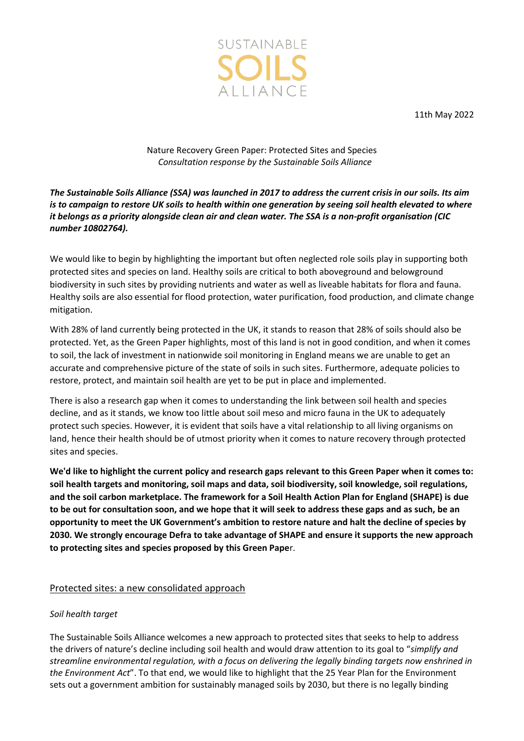

11th May 2022

# Nature Recovery Green Paper: Protected Sites and Species *Consultation response by the Sustainable Soils Alliance*

# *The Sustainable Soils Alliance (SSA) was launched in 2017 to address the current crisis in our soils. Its aim is to campaign to restore UK soils to health within one generation by seeing soil health elevated to where it belongs as a priority alongside clean air and clean water. The SSA is a non-profit organisation (CIC number 10802764).*

We would like to begin by highlighting the important but often neglected role soils play in supporting both protected sites and species on land. Healthy soils are critical to both aboveground and belowground biodiversity in such sites by providing nutrients and water as well as liveable habitats for flora and fauna. Healthy soils are also essential for flood protection, water purification, food production, and climate change mitigation.

With 28% of land currently being protected in the UK, it stands to reason that 28% of soils should also be protected. Yet, as the Green Paper highlights, most of this land is not in good condition, and when it comes to soil, the lack of investment in nationwide soil monitoring in England means we are unable to get an accurate and comprehensive picture of the state of soils in such sites. Furthermore, adequate policies to restore, protect, and maintain soil health are yet to be put in place and implemented.

There is also a research gap when it comes to understanding the link between soil health and species decline, and as it stands, we know too little about soil meso and micro fauna in the UK to adequately protect such species. However, it is evident that soils have a vital relationship to all living organisms on land, hence their health should be of utmost priority when it comes to nature recovery through protected sites and species.

**We'd like to highlight the current policy and research gaps relevant to this Green Paper when it comes to: soil health targets and monitoring, soil maps and data, soil biodiversity, soil knowledge, soil regulations, and the soil carbon marketplace. The framework for a Soil Health Action Plan for England (SHAPE) is due to be out for consultation soon, and we hope that it will seek to address these gaps and as such, be an opportunity to meet the UK Government's ambition to restore nature and halt the decline of species by 2030. We strongly encourage Defra to take advantage of SHAPE and ensure it supports the new approach to protecting sites and species proposed by this Green Pape**r.

# Protected sites: a new consolidated approach

# *Soil health target*

The Sustainable Soils Alliance welcomes a new approach to protected sites that seeks to help to address the drivers of nature's decline including soil health and would draw attention to its goal to "*simplify and streamline environmental regulation, with a focus on delivering the legally binding targets now enshrined in the Environment Act*". To that end, we would like to highlight that the 25 Year Plan for the Environment sets out a government ambition for sustainably managed soils by 2030, but there is no legally binding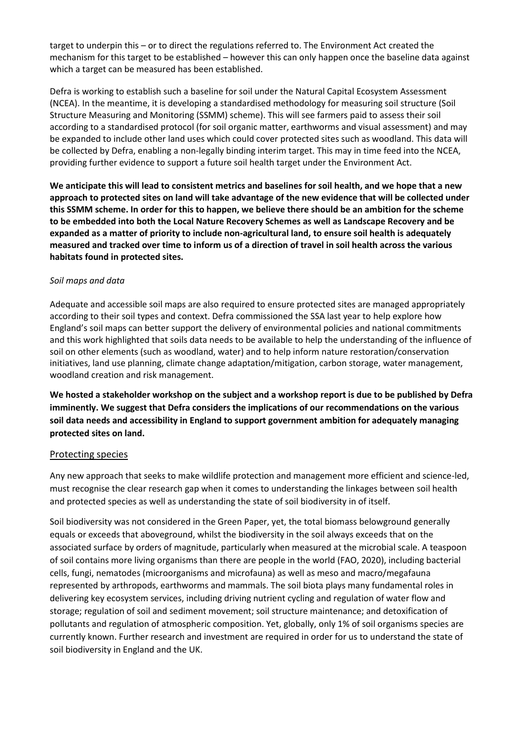target to underpin this – or to direct the regulations referred to. The Environment Act created the mechanism for this target to be established – however this can only happen once the baseline data against which a target can be measured has been established.

Defra is working to establish such a baseline for soil under the Natural Capital Ecosystem Assessment (NCEA). In the meantime, it is developing a standardised methodology for measuring soil structure (Soil Structure Measuring and Monitoring (SSMM) scheme). This will see farmers paid to assess their soil according to a standardised protocol (for soil organic matter, earthworms and visual assessment) and may be expanded to include other land uses which could cover protected sites such as woodland. This data will be collected by Defra, enabling a non-legally binding interim target. This may in time feed into the NCEA, providing further evidence to support a future soil health target under the Environment Act.

**We anticipate this will lead to consistent metrics and baselines for soil health, and we hope that a new approach to protected sites on land will take advantage of the new evidence that will be collected under this SSMM scheme. In order for this to happen, we believe there should be an ambition for the scheme to be embedded into both the Local Nature Recovery Schemes as well as Landscape Recovery and be expanded as a matter of priority to include non-agricultural land, to ensure soil health is adequately measured and tracked over time to inform us of a direction of travel in soil health across the various habitats found in protected sites.**

### *Soil maps and data*

Adequate and accessible soil maps are also required to ensure protected sites are managed appropriately according to their soil types and context. Defra commissioned the SSA last year to help explore how England's soil maps can better support the delivery of environmental policies and national commitments and this work highlighted that soils data needs to be available to help the understanding of the influence of soil on other elements (such as woodland, water) and to help inform nature restoration/conservation initiatives, land use planning, climate change adaptation/mitigation, carbon storage, water management, woodland creation and risk management.

**We hosted a stakeholder workshop on the subject and a workshop report is due to be published by Defra imminently. We suggest that Defra considers the implications of our recommendations on the various soil data needs and accessibility in England to support government ambition for adequately managing protected sites on land.**

### Protecting species

Any new approach that seeks to make wildlife protection and management more efficient and science-led, must recognise the clear research gap when it comes to understanding the linkages between soil health and protected species as well as understanding the state of soil biodiversity in of itself.

Soil biodiversity was not considered in the Green Paper, yet, the total biomass belowground generally equals or exceeds that aboveground, whilst the biodiversity in the soil always exceeds that on the associated surface by orders of magnitude, particularly when measured at the microbial scale. A teaspoon of soil contains more living organisms than there are people in the world (FAO, 2020), including bacterial cells, fungi, nematodes (microorganisms and microfauna) as well as meso and macro/megafauna represented by arthropods, earthworms and mammals. The soil biota plays many fundamental roles in delivering key ecosystem services, including driving nutrient cycling and regulation of water flow and storage; regulation of soil and sediment movement; soil structure maintenance; and detoxification of pollutants and regulation of atmospheric composition. Yet, globally, only 1% of soil organisms species are currently known. Further research and investment are required in order for us to understand the state of soil biodiversity in England and the UK.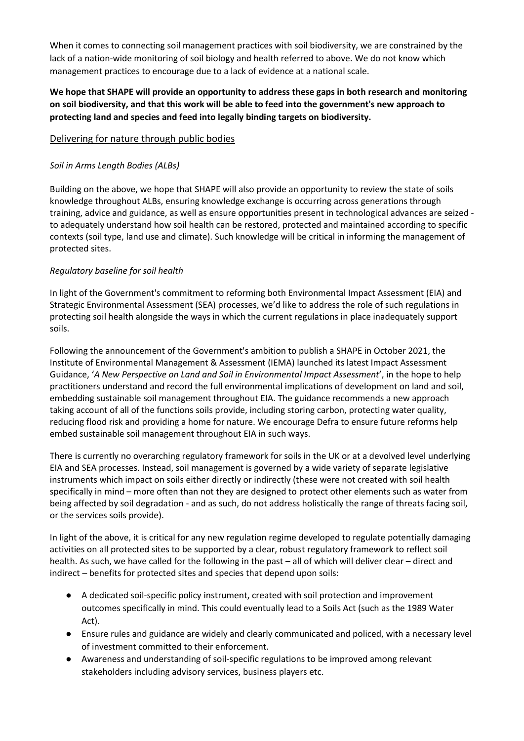When it comes to connecting soil management practices with soil biodiversity, we are constrained by the lack of a nation-wide monitoring of soil biology and health referred to above. We do not know which management practices to encourage due to a lack of evidence at a national scale.

# **We hope that SHAPE will provide an opportunity to address these gaps in both research and monitoring on soil biodiversity, and that this work will be able to feed into the government's new approach to protecting land and species and feed into legally binding targets on biodiversity.**

# Delivering for nature through public bodies

## *Soil in Arms Length Bodies (ALBs)*

Building on the above, we hope that SHAPE will also provide an opportunity to review the state of soils knowledge throughout ALBs, ensuring knowledge exchange is occurring across generations through training, advice and guidance, as well as ensure opportunities present in technological advances are seized to adequately understand how soil health can be restored, protected and maintained according to specific contexts (soil type, land use and climate). Such knowledge will be critical in informing the management of protected sites.

### *Regulatory baseline for soil health*

In light of the Government's commitment to reforming both Environmental Impact Assessment (EIA) and Strategic Environmental Assessment (SEA) processes, we'd like to address the role of such regulations in protecting soil health alongside the ways in which the current regulations in place inadequately support soils.

Following the announcement of the Government's ambition to publish a SHAPE in October 2021, the Institute of Environmental Management & Assessment (IEMA) launched its latest Impact Assessment Guidance, '*A New Perspective on Land and Soil in Environmental Impact Assessment*', in the hope to help practitioners understand and record the full environmental implications of development on land and soil, embedding sustainable soil management throughout EIA. The guidance recommends a new approach taking account of all of the functions soils provide, including storing carbon, protecting water quality, reducing flood risk and providing a home for nature. We encourage Defra to ensure future reforms help embed sustainable soil management throughout EIA in such ways.

There is currently no overarching regulatory framework for soils in the UK or at a devolved level underlying EIA and SEA processes. Instead, soil management is governed by a wide variety of separate legislative instruments which impact on soils either directly or indirectly (these were not created with soil health specifically in mind – more often than not they are designed to protect other elements such as water from being affected by soil degradation - and as such, do not address holistically the range of threats facing soil, or the services soils provide).

In light of the above, it is critical for any new regulation regime developed to regulate potentially damaging activities on all protected sites to be supported by a clear, robust regulatory framework to reflect soil health. As such, we have called for the following in the past – all of which will deliver clear – direct and indirect – benefits for protected sites and species that depend upon soils:

- A dedicated soil-specific policy instrument, created with soil protection and improvement outcomes specifically in mind. This could eventually lead to a Soils Act (such as the 1989 Water Act).
- Ensure rules and guidance are widely and clearly communicated and policed, with a necessary level of investment committed to their enforcement.
- Awareness and understanding of soil-specific regulations to be improved among relevant stakeholders including advisory services, business players etc.